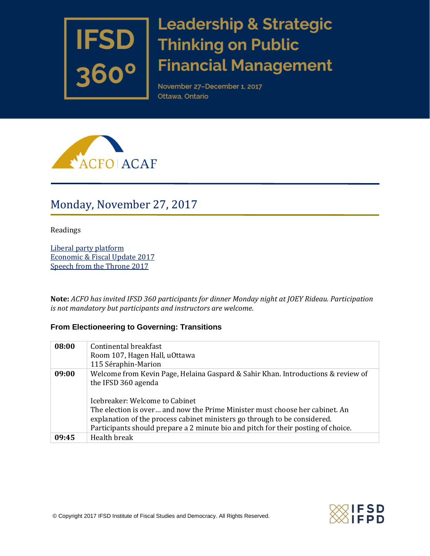

# **Leadership & Strategic Thinking on Public Financial Management**

November 27-December 1, 2017 Ottawa, Ontario



## Monday, November 27, 2017

Readings

Liberal party [platform](https://www.liberal.ca/realchange/) [Economic](https://www.budget.gc.ca/fes-eea/2017/docs/statement-enonce/chap01-en.html) & Fiscal Update 2017 Speech from the [Throne](https://www.canada.ca/en/privy-council/campaigns/speech-throne.html) 2017

**Note:** *ACFO has invited IFSD 360 participants for dinner Monday night at JOEY Rideau. Participation is not mandatory but participants and instructors are welcome.*

#### **From Electioneering to Governing: Transitions**

| 08:00 | Continental breakfast<br>Room 107, Hagen Hall, uOttawa                                                  |
|-------|---------------------------------------------------------------------------------------------------------|
|       | 115 Séraphin-Marion                                                                                     |
| 09:00 | Welcome from Kevin Page, Helaina Gaspard & Sahir Khan. Introductions & review of<br>the IFSD 360 agenda |
|       | Icebreaker: Welcome to Cabinet                                                                          |
|       | The election is over and now the Prime Minister must choose her cabinet. An                             |
|       | explanation of the process cabinet ministers go through to be considered.                               |
|       | Participants should prepare a 2 minute bio and pitch for their posting of choice.                       |
| 09:45 | Health break                                                                                            |

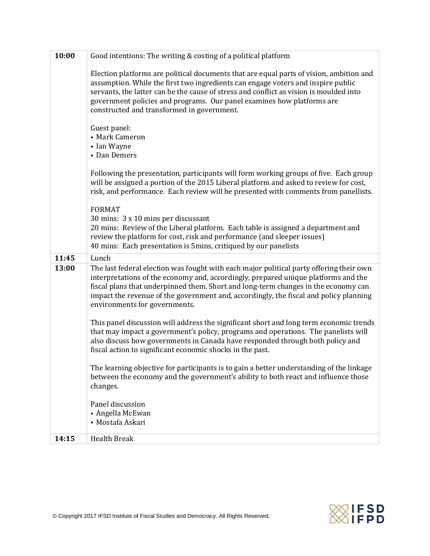| 10:00 | Good intentions: The writing & costing of a political platform                                                                                                                                                                                                                                                                                                                                |
|-------|-----------------------------------------------------------------------------------------------------------------------------------------------------------------------------------------------------------------------------------------------------------------------------------------------------------------------------------------------------------------------------------------------|
|       | Election platforms are political documents that are equal parts of vision, ambition and<br>assumption. While the first two ingredients can engage voters and inspire public<br>servants, the latter can be the cause of stress and conflict as vision is moulded into<br>government policies and programs. Our panel examines how platforms are<br>constructed and transformed in government. |
|       | Guest panel:<br>• Mark Cameron<br>• Ian Wayne<br>• Dan Demers                                                                                                                                                                                                                                                                                                                                 |
|       | Following the presentation, participants will form working groups of five. Each group<br>will be assigned a portion of the 2015 Liberal platform and asked to review for cost,<br>risk, and performance. Each review will be presented with comments from panellists.                                                                                                                         |
|       | <b>FORMAT</b><br>30 mins: 3 x 10 mins per discussant<br>20 mins: Review of the Liberal platform. Each table is assigned a department and<br>review the platform for cost, risk and performance (and sleeper issues)<br>40 mins: Each presentation is 5 mins, critiqued by our panelists                                                                                                       |
| 11:45 | Lunch                                                                                                                                                                                                                                                                                                                                                                                         |
| 13:00 | The last federal election was fought with each major political party offering their own<br>interpretations of the economy and, accordingly, prepared unique platforms and the<br>fiscal plans that underpinned them. Short and long-term changes in the economy can<br>impact the revenue of the government and, accordingly, the fiscal and policy planning<br>environments for governments. |
|       | This panel discussion will address the significant short and long term economic trends<br>that may impact a government's policy, programs and operations. The panelists will<br>also discuss how governments in Canada have responded through both policy and<br>fiscal action to significant economic shocks in the past.                                                                    |
|       | The learning objective for participants is to gain a better understanding of the linkage<br>between the economy and the government's ability to both react and influence those<br>changes.                                                                                                                                                                                                    |
|       | Panel discussion<br>• Angella McEwan<br>• Mostafa Askari                                                                                                                                                                                                                                                                                                                                      |
| 14:15 | <b>Health Break</b>                                                                                                                                                                                                                                                                                                                                                                           |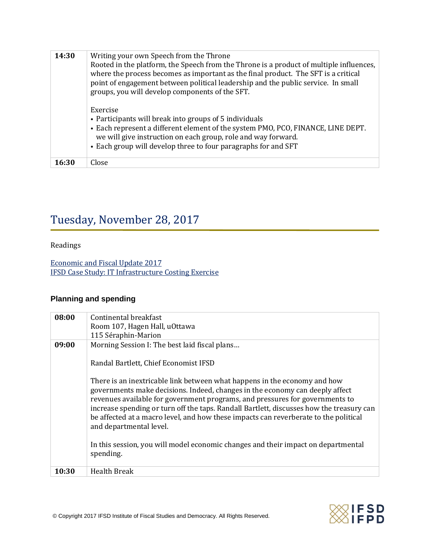| 14:30 | Writing your own Speech from the Throne<br>Rooted in the platform, the Speech from the Throne is a product of multiple influences,<br>where the process becomes as important as the final product. The SFT is a critical<br>point of engagement between political leadership and the public service. In small<br>groups, you will develop components of the SFT. |
|-------|------------------------------------------------------------------------------------------------------------------------------------------------------------------------------------------------------------------------------------------------------------------------------------------------------------------------------------------------------------------|
|       | Exercise<br>• Participants will break into groups of 5 individuals<br>• Each represent a different element of the system PMO, PCO, FINANCE, LINE DEPT.<br>we will give instruction on each group, role and way forward.<br>• Each group will develop three to four paragraphs for and SFT                                                                        |
| 16:30 | Close                                                                                                                                                                                                                                                                                                                                                            |

### Tuesday, November 28, 2017

Readings

[Economic](https://www.budget.gc.ca/fes-eea/2017/docs/statement-enonce/toc-tdm-en.html) and Fiscal Update 2017 IFSD Case Study: IT [Infrastructure](http://ifsd.ca/web/default/files/360/Wireless%20Radio%20Case.pdf) Costing Exercise

### **Planning and spending**

| 08:00 | Continental breakfast<br>Room 107, Hagen Hall, uOttawa                                                                                                                                                                                                                                                                                                                                                                                                   |
|-------|----------------------------------------------------------------------------------------------------------------------------------------------------------------------------------------------------------------------------------------------------------------------------------------------------------------------------------------------------------------------------------------------------------------------------------------------------------|
|       | 115 Séraphin-Marion                                                                                                                                                                                                                                                                                                                                                                                                                                      |
| 09:00 | Morning Session I: The best laid fiscal plans                                                                                                                                                                                                                                                                                                                                                                                                            |
|       | Randal Bartlett, Chief Economist IFSD                                                                                                                                                                                                                                                                                                                                                                                                                    |
|       | There is an inextricable link between what happens in the economy and how<br>governments make decisions. Indeed, changes in the economy can deeply affect<br>revenues available for government programs, and pressures for governments to<br>increase spending or turn off the taps. Randall Bartlett, discusses how the treasury can<br>be affected at a macro level, and how these impacts can reverberate to the political<br>and departmental level. |
|       | In this session, you will model economic changes and their impact on departmental<br>spending.                                                                                                                                                                                                                                                                                                                                                           |
| 10:30 | <b>Health Break</b>                                                                                                                                                                                                                                                                                                                                                                                                                                      |

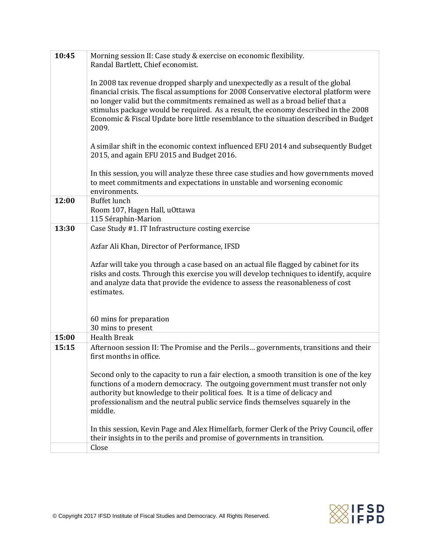| 10:45 | Morning session II: Case study & exercise on economic flexibility.<br>Randal Bartlett, Chief economist.                                                                                                                                                                                                                                                                                                                                           |
|-------|---------------------------------------------------------------------------------------------------------------------------------------------------------------------------------------------------------------------------------------------------------------------------------------------------------------------------------------------------------------------------------------------------------------------------------------------------|
|       |                                                                                                                                                                                                                                                                                                                                                                                                                                                   |
|       | In 2008 tax revenue dropped sharply and unexpectedly as a result of the global<br>financial crisis. The fiscal assumptions for 2008 Conservative electoral platform were<br>no longer valid but the commitments remained as well as a broad belief that a<br>stimulus package would be required. As a result, the economy described in the 2008<br>Economic & Fiscal Update bore little resemblance to the situation described in Budget<br>2009. |
|       | A similar shift in the economic context influenced EFU 2014 and subsequently Budget<br>2015, and again EFU 2015 and Budget 2016.                                                                                                                                                                                                                                                                                                                  |
|       | In this session, you will analyze these three case studies and how governments moved<br>to meet commitments and expectations in unstable and worsening economic<br>environments.                                                                                                                                                                                                                                                                  |
| 12:00 | <b>Buffet lunch</b>                                                                                                                                                                                                                                                                                                                                                                                                                               |
|       | Room 107, Hagen Hall, uOttawa<br>115 Séraphin-Marion                                                                                                                                                                                                                                                                                                                                                                                              |
| 13:30 | Case Study #1. IT Infrastructure costing exercise                                                                                                                                                                                                                                                                                                                                                                                                 |
|       | Azfar Ali Khan, Director of Performance, IFSD                                                                                                                                                                                                                                                                                                                                                                                                     |
|       | Azfar will take you through a case based on an actual file flagged by cabinet for its<br>risks and costs. Through this exercise you will develop techniques to identify, acquire<br>and analyze data that provide the evidence to assess the reasonableness of cost<br>estimates.                                                                                                                                                                 |
|       |                                                                                                                                                                                                                                                                                                                                                                                                                                                   |
|       | 60 mins for preparation<br>30 mins to present                                                                                                                                                                                                                                                                                                                                                                                                     |
| 15:00 | <b>Health Break</b>                                                                                                                                                                                                                                                                                                                                                                                                                               |
| 15:15 | Afternoon session II: The Promise and the Perils governments, transitions and their<br>first months in office.                                                                                                                                                                                                                                                                                                                                    |
|       | Second only to the capacity to run a fair election, a smooth transition is one of the key<br>functions of a modern democracy. The outgoing government must transfer not only<br>authority but knowledge to their political foes. It is a time of delicacy and<br>professionalism and the neutral public service finds themselves squarely in the<br>middle.                                                                                       |
|       | In this session, Kevin Page and Alex Himelfarb, former Clerk of the Privy Council, offer<br>their insights in to the perils and promise of governments in transition.<br>Close                                                                                                                                                                                                                                                                    |

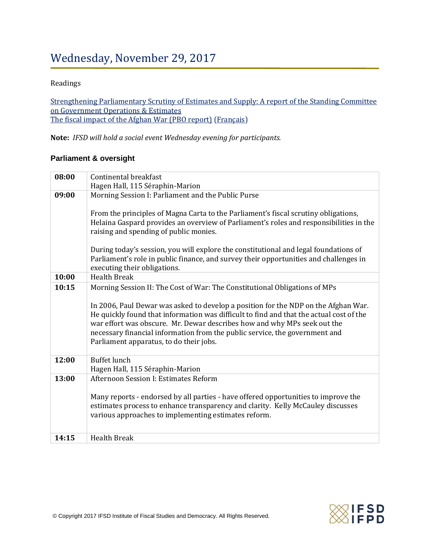# Wednesday, November 29, 2017

### Readings

Strengthening [Parliamentary](http://www.ourcommons.ca/DocumentViewer/en/41-1/OGGO/report-7) Scrutiny of Estimates and Supply: A report of the Standing Committee on [Government](http://www.ourcommons.ca/DocumentViewer/en/41-1/OGGO/report-7) Operations & Estimates The fiscal impact of the Afghan War (PBO [report\)](http://pbo-dpb.gc.ca/web/default/files/files/files/Publications/Afghanistan_Fiscal_Impact_FINAL_E_WEB.pdf) [\(Français\)](http://pbo-dpb.gc.ca/web/default/files/files/files/Publications/Afghanistan_Fiscal_Impact_FINAL_F_WEB.pdf)

**Note:** *IFSD will hold a social event Wednesday evening for participants.*

### **Parliament & oversight**

| 08:00 | Continental breakfast<br>Hagen Hall, 115 Séraphin-Marion                                                                                                                                                                                                                                                                                                                                                                                                          |
|-------|-------------------------------------------------------------------------------------------------------------------------------------------------------------------------------------------------------------------------------------------------------------------------------------------------------------------------------------------------------------------------------------------------------------------------------------------------------------------|
| 09:00 | Morning Session I: Parliament and the Public Purse                                                                                                                                                                                                                                                                                                                                                                                                                |
|       | From the principles of Magna Carta to the Parliament's fiscal scrutiny obligations,<br>Helaina Gaspard provides an overview of Parliament's roles and responsibilities in the<br>raising and spending of public monies.                                                                                                                                                                                                                                           |
|       | During today's session, you will explore the constitutional and legal foundations of<br>Parliament's role in public finance, and survey their opportunities and challenges in<br>executing their obligations.                                                                                                                                                                                                                                                     |
| 10:00 | <b>Health Break</b>                                                                                                                                                                                                                                                                                                                                                                                                                                               |
| 10:15 | Morning Session II: The Cost of War: The Constitutional Obligations of MPs<br>In 2006, Paul Dewar was asked to develop a position for the NDP on the Afghan War.<br>He quickly found that information was difficult to find and that the actual cost of the<br>war effort was obscure. Mr. Dewar describes how and why MPs seek out the<br>necessary financial information from the public service, the government and<br>Parliament apparatus, to do their jobs. |
| 12:00 | <b>Buffet lunch</b><br>Hagen Hall, 115 Séraphin-Marion                                                                                                                                                                                                                                                                                                                                                                                                            |
| 13:00 | Afternoon Session I: Estimates Reform                                                                                                                                                                                                                                                                                                                                                                                                                             |
|       | Many reports - endorsed by all parties - have offered opportunities to improve the<br>estimates process to enhance transparency and clarity. Kelly McCauley discusses<br>various approaches to implementing estimates reform.                                                                                                                                                                                                                                     |
| 14:15 | <b>Health Break</b>                                                                                                                                                                                                                                                                                                                                                                                                                                               |

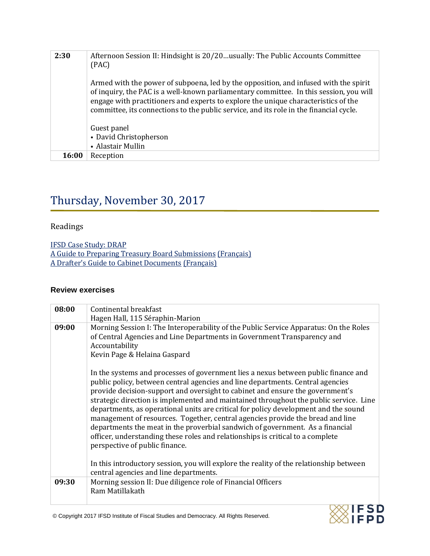| 2:30         | Afternoon Session II: Hindsight is 20/20usually: The Public Accounts Committee<br>(PAC)                                                                                                                                                                                                                                                                        |
|--------------|----------------------------------------------------------------------------------------------------------------------------------------------------------------------------------------------------------------------------------------------------------------------------------------------------------------------------------------------------------------|
|              | Armed with the power of subpoena, led by the opposition, and infused with the spirit<br>of inquiry, the PAC is a well-known parliamentary committee. In this session, you will<br>engage with practitioners and experts to explore the unique characteristics of the<br>committee, its connections to the public service, and its role in the financial cycle. |
|              | Guest panel                                                                                                                                                                                                                                                                                                                                                    |
|              | • David Christopherson                                                                                                                                                                                                                                                                                                                                         |
|              | • Alastair Mullin                                                                                                                                                                                                                                                                                                                                              |
| <b>16:00</b> | Reception                                                                                                                                                                                                                                                                                                                                                      |

### Thursday, November 30, 2017

### Readings

IFSD Case [Study:](http://ifsd.ca/web/default/files/360/DRAP%20Case.pdf) DRAP A Guide to Preparing Treasury Board [Submissions](https://www.tbs-sct.gc.ca/pubs_pol/opepubs/tbm_162/gptbs-gppct-eng.pdf) [\(Français\)](https://www.tbs-sct.gc.ca/pubs_pol/opepubs/TBM_162/gptbs-gppct-fra.pdf) A Drafter's Guide to Cabinet [Documents](http://www.pco-bcp.gc.ca/docs/information/publications/mc/docs/dr-guide-eng.pdf) [\(Français\)](http://www.pco-bcp.gc.ca/docs/information/publications/mc/docs/dr-guide-fra.pdf)

#### **Review exercises**

| 08:00 | Continental breakfast                                                                  |
|-------|----------------------------------------------------------------------------------------|
|       |                                                                                        |
|       | Hagen Hall, 115 Séraphin-Marion                                                        |
| 09:00 | Morning Session I: The Interoperability of the Public Service Apparatus: On the Roles  |
|       | of Central Agencies and Line Departments in Government Transparency and                |
|       | Accountability                                                                         |
|       | Kevin Page & Helaina Gaspard                                                           |
|       | In the systems and processes of government lies a nexus between public finance and     |
|       |                                                                                        |
|       | public policy, between central agencies and line departments. Central agencies         |
|       | provide decision-support and oversight to cabinet and ensure the government's          |
|       | strategic direction is implemented and maintained throughout the public service. Line  |
|       | departments, as operational units are critical for policy development and the sound    |
|       | management of resources. Together, central agencies provide the bread and line         |
|       | departments the meat in the proverbial sandwich of government. As a financial          |
|       | officer, understanding these roles and relationships is critical to a complete         |
|       | perspective of public finance.                                                         |
|       |                                                                                        |
|       | In this introductory session, you will explore the reality of the relationship between |
|       | central agencies and line departments.                                                 |
| 09:30 | Morning session II: Due diligence role of Financial Officers                           |
|       | Ram Matillakath                                                                        |
|       |                                                                                        |
|       |                                                                                        |

QIFSD<br>∛IFPD

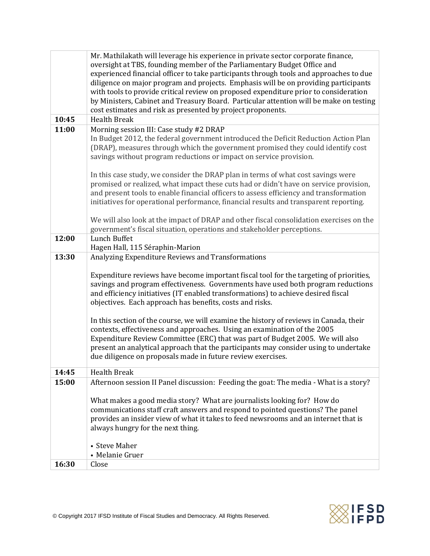|       | Mr. Mathilakath will leverage his experience in private sector corporate finance,       |
|-------|-----------------------------------------------------------------------------------------|
|       | oversight at TBS, founding member of the Parliamentary Budget Office and                |
|       | experienced financial officer to take participants through tools and approaches to due  |
|       | diligence on major program and projects. Emphasis will be on providing participants     |
|       | with tools to provide critical review on proposed expenditure prior to consideration    |
|       | by Ministers, Cabinet and Treasury Board. Particular attention will be make on testing  |
|       | cost estimates and risk as presented by project proponents.                             |
| 10:45 | <b>Health Break</b>                                                                     |
| 11:00 | Morning session III: Case study #2 DRAP                                                 |
|       | In Budget 2012, the federal government introduced the Deficit Reduction Action Plan     |
|       | (DRAP), measures through which the government promised they could identify cost         |
|       | savings without program reductions or impact on service provision.                      |
|       |                                                                                         |
|       |                                                                                         |
|       | In this case study, we consider the DRAP plan in terms of what cost savings were        |
|       | promised or realized, what impact these cuts had or didn't have on service provision,   |
|       | and present tools to enable financial officers to assess efficiency and transformation  |
|       | initiatives for operational performance, financial results and transparent reporting.   |
|       |                                                                                         |
|       | We will also look at the impact of DRAP and other fiscal consolidation exercises on the |
|       | government's fiscal situation, operations and stakeholder perceptions.                  |
| 12:00 | Lunch Buffet                                                                            |
|       | Hagen Hall, 115 Séraphin-Marion                                                         |
| 13:30 | Analyzing Expenditure Reviews and Transformations                                       |
|       |                                                                                         |
|       | Expenditure reviews have become important fiscal tool for the targeting of priorities,  |
|       | savings and program effectiveness. Governments have used both program reductions        |
|       | and efficiency initiatives (IT enabled transformations) to achieve desired fiscal       |
|       | objectives. Each approach has benefits, costs and risks.                                |
|       |                                                                                         |
|       | In this section of the course, we will examine the history of reviews in Canada, their  |
|       | contexts, effectiveness and approaches. Using an examination of the 2005                |
|       | Expenditure Review Committee (ERC) that was part of Budget 2005. We will also           |
|       | present an analytical approach that the participants may consider using to undertake    |
|       | due diligence on proposals made in future review exercises.                             |
| 14:45 | <b>Health Break</b>                                                                     |
| 15:00 | Afternoon session II Panel discussion: Feeding the goat: The media - What is a story?   |
|       |                                                                                         |
|       | What makes a good media story? What are journalists looking for? How do                 |
|       |                                                                                         |
|       | communications staff craft answers and respond to pointed questions? The panel          |
|       | provides an insider view of what it takes to feed newsrooms and an internet that is     |
|       | always hungry for the next thing.                                                       |
|       |                                                                                         |
|       | • Steve Maher                                                                           |
|       | • Melanie Gruer                                                                         |
| 16:30 | Close                                                                                   |